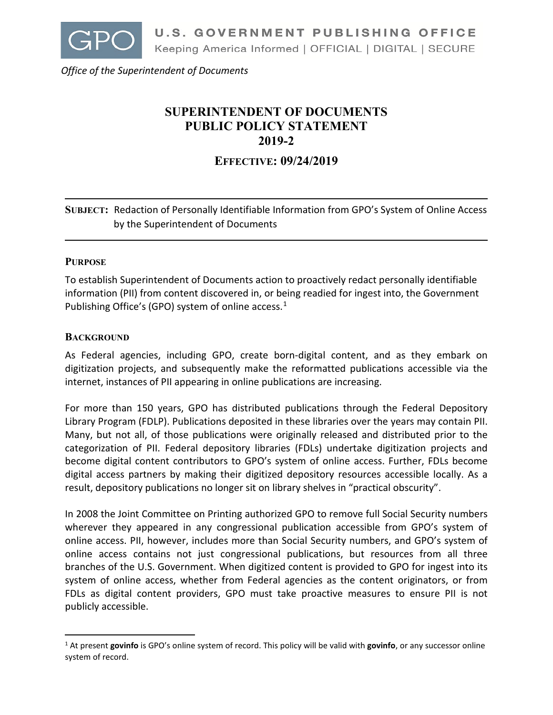

*Office of the Superintendent of Documents*

# **SUPERINTENDENT OF DOCUMENTS PUBLIC POLICY STATEMENT 2019-2**

**EFFECTIVE: 09/24/2019**

**SUBJECT:** Redaction of Personally Identifiable Information from GPO's System of Online Access by the Superintendent of Documents

### **PURPOSE**

To establish Superintendent of Documents action to proactively redact personally identifiable information (PII) from content discovered in, or being readied for ingest into, the Government Publishing Office's (GPO) system of online access.<sup>1</sup>

### **BACKGROUND**

 $\overline{a}$ 

As Federal agencies, including GPO, create born-digital content, and as they embark on digitization projects, and subsequently make the reformatted publications accessible via the internet, instances of PII appearing in online publications are increasing.

For more than 150 years, GPO has distributed publications through the Federal Depository Library Program (FDLP). Publications deposited in these libraries over the years may contain PII. Many, but not all, of those publications were originally released and distributed prior to the categorization of PII. Federal depository libraries (FDLs) undertake digitization projects and become digital content contributors to GPO's system of online access. Further, FDLs become digital access partners by making their digitized depository resources accessible locally. As a result, depository publications no longer sit on library shelves in "practical obscurity".

In 2008 the Joint Committee on Printing authorized GPO to remove full Social Security numbers wherever they appeared in any congressional publication accessible from GPO's system of online access. PII, however, includes more than Social Security numbers, and GPO's system of online access contains not just congressional publications, but resources from all three branches of the U.S. Government. When digitized content is provided to GPO for ingest into its system of online access, whether from Federal agencies as the content originators, or from FDLs as digital content providers, GPO must take proactive measures to ensure PII is not publicly accessible.

<span id="page-0-0"></span><sup>1</sup> At present **govinfo** is GPO's online system of record. This policy will be valid with **govinfo**, or any successor online system of record.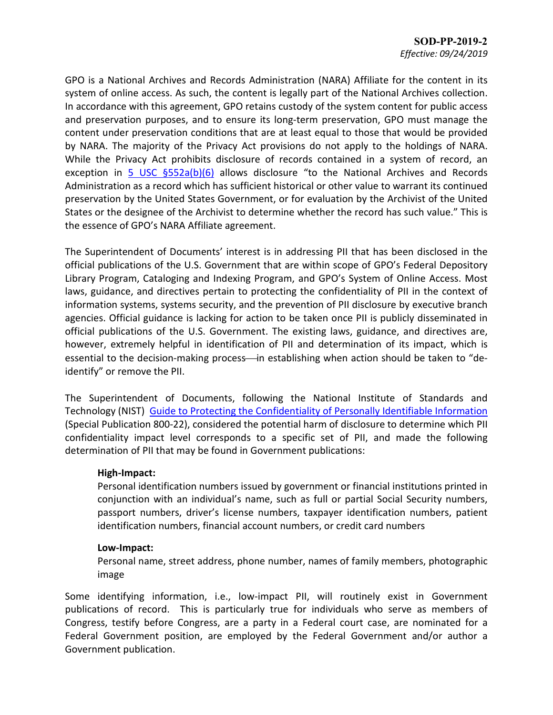GPO is a National Archives and Records Administration (NARA) Affiliate for the content in its system of online access. As such, the content is legally part of the National Archives collection. In accordance with this agreement, GPO retains custody of the system content for public access and preservation purposes, and to ensure its long-term preservation, GPO must manage the content under preservation conditions that are at least equal to those that would be provided by NARA. The majority of the Privacy Act provisions do not apply to the holdings of NARA. While the Privacy Act prohibits disclosure of records contained in a system of record, an exception in  $\frac{5 \text{ USC } \frac{6552a(b)(6)}{6}}$  allows disclosure "to the National Archives and Records Administration as a record which has sufficient historical or other value to warrant its continued preservation by the United States Government, or for evaluation by the Archivist of the United States or the designee of the Archivist to determine whether the record has such value." This is the essence of GPO's NARA Affiliate agreement.

The Superintendent of Documents' interest is in addressing PII that has been disclosed in the official publications of the U.S. Government that are within scope of GPO's Federal Depository Library Program, Cataloging and Indexing Program, and GPO's System of Online Access. Most laws, guidance, and directives pertain to protecting the confidentiality of PII in the context of information systems, systems security, and the prevention of PII disclosure by executive branch agencies. Official guidance is lacking for action to be taken once PII is publicly disseminated in official publications of the U.S. Government. The existing laws, guidance, and directives are, however, extremely helpful in identification of PII and determination of its impact, which is essential to the decision-making process—in establishing when action should be taken to "deidentify" or remove the PII.

The Superintendent of Documents, following the National Institute of Standards and Technology (NIST) Guide to [Protecting the Confidentiality of Personally Identifiable Information](https://nvlpubs.nist.gov/nistpubs/Legacy/SP/nistspecialpublication800-122.pdf) (Special Publication 800-22), considered the potential harm of disclosure to determine which PII confidentiality impact level corresponds to a specific set of PII, and made the following determination of PII that may be found in Government publications:

### **High-Impact:**

Personal identification numbers issued by government or financial institutions printed in conjunction with an individual's name, such as full or partial Social Security numbers, passport numbers, driver's license numbers, taxpayer identification numbers, patient identification numbers, financial account numbers, or credit card numbers

# **Low-Impact:**

Personal name, street address, phone number, names of family members, photographic image

Some identifying information, i.e., low-impact PII, will routinely exist in Government publications of record. This is particularly true for individuals who serve as members of Congress, testify before Congress, are a party in a Federal court case, are nominated for a Federal Government position, are employed by the Federal Government and/or author a Government publication.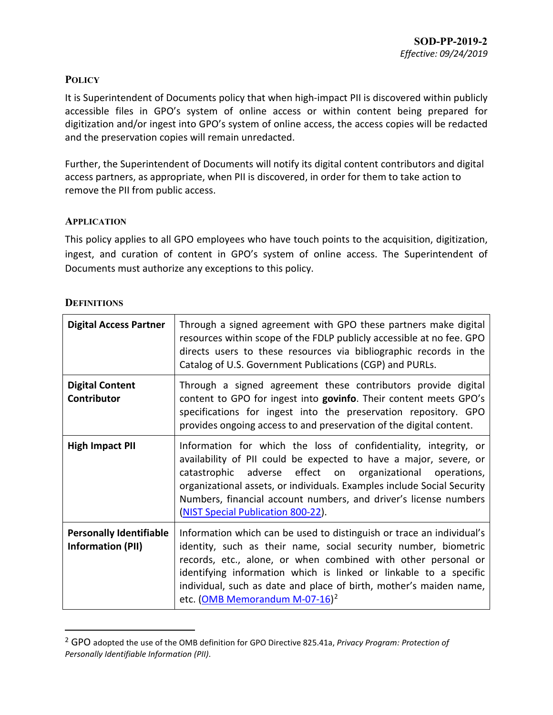## **POLICY**

It is Superintendent of Documents policy that when high-impact PII is discovered within publicly accessible files in GPO's system of online access or within content being prepared for digitization and/or ingest into GPO's system of online access, the access copies will be redacted and the preservation copies will remain unredacted.

Further, the Superintendent of Documents will notify its digital content contributors and digital access partners, as appropriate, when PII is discovered, in order for them to take action to remove the PII from public access.

### **APPLICATION**

This policy applies to all GPO employees who have touch points to the acquisition, digitization, ingest, and curation of content in GPO's system of online access. The Superintendent of Documents must authorize any exceptions to this policy.

### **DEFINITIONS**

 $\overline{a}$ 

| <b>Digital Access Partner</b>                              | Through a signed agreement with GPO these partners make digital<br>resources within scope of the FDLP publicly accessible at no fee. GPO<br>directs users to these resources via bibliographic records in the<br>Catalog of U.S. Government Publications (CGP) and PURLs.                                                                                                                          |
|------------------------------------------------------------|----------------------------------------------------------------------------------------------------------------------------------------------------------------------------------------------------------------------------------------------------------------------------------------------------------------------------------------------------------------------------------------------------|
| <b>Digital Content</b><br>Contributor                      | Through a signed agreement these contributors provide digital<br>content to GPO for ingest into govinfo. Their content meets GPO's<br>specifications for ingest into the preservation repository. GPO<br>provides ongoing access to and preservation of the digital content.                                                                                                                       |
| <b>High Impact PII</b>                                     | Information for which the loss of confidentiality, integrity, or<br>availability of PII could be expected to have a major, severe, or<br>catastrophic adverse effect on organizational operations,<br>organizational assets, or individuals. Examples include Social Security<br>Numbers, financial account numbers, and driver's license numbers<br>(NIST Special Publication 800-22).            |
| <b>Personally Identifiable</b><br><b>Information (PII)</b> | Information which can be used to distinguish or trace an individual's<br>identity, such as their name, social security number, biometric<br>records, etc., alone, or when combined with other personal or<br>identifying information which is linked or linkable to a specific<br>individual, such as date and place of birth, mother's maiden name,<br>etc. (OMB Memorandum M-07-16) <sup>2</sup> |

<span id="page-2-0"></span><sup>2</sup> GPO adopted the use of the OMB definition for GPO Directive 825.41a, *Privacy Program: Protection of Personally Identifiable Information (PII)*.